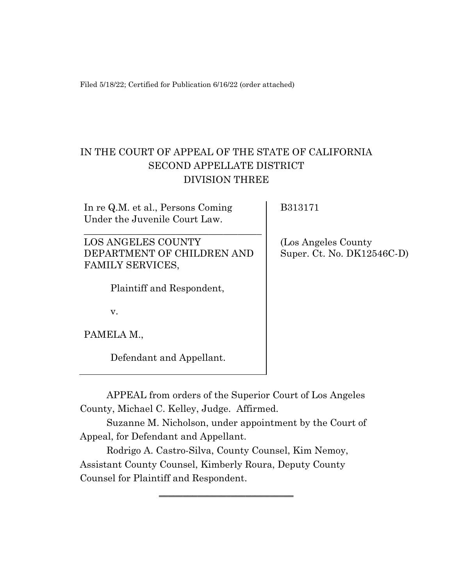Filed 5/18/22; Certified for Publication 6/16/22 (order attached)

# IN THE COURT OF APPEAL OF THE STATE OF CALIFORNIA SECOND APPELLATE DISTRICT DIVISION THREE

In re Q.M. et al., Persons Coming Under the Juvenile Court Law.

LOS ANGELES COUNTY DEPARTMENT OF CHILDREN AND FAMILY SERVICES,

\_\_\_\_\_\_\_\_\_\_\_\_\_\_\_\_\_\_\_\_\_\_\_\_\_\_\_\_\_\_\_\_\_\_\_\_\_

Plaintiff and Respondent,

B313171

(Los Angeles County Super. Ct. No. DK12546C-D)

v.

PAMELA M.,

Defendant and Appellant.

APPEAL from orders of the Superior Court of Los Angeles County, Michael C. Kelley, Judge. Affirmed.

Suzanne M. Nicholson, under appointment by the Court of Appeal, for Defendant and Appellant.

‗‗‗‗‗‗‗‗‗‗‗‗‗‗‗‗‗‗‗‗‗‗‗‗‗‗‗‗

Rodrigo A. Castro-Silva, County Counsel, Kim Nemoy, Assistant County Counsel, Kimberly Roura, Deputy County Counsel for Plaintiff and Respondent.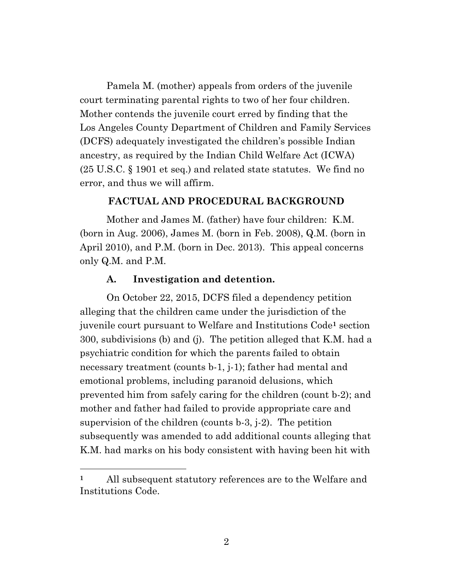Pamela M. (mother) appeals from orders of the juvenile court terminating parental rights to two of her four children. Mother contends the juvenile court erred by finding that the Los Angeles County Department of Children and Family Services (DCFS) adequately investigated the children's possible Indian ancestry, as required by the Indian Child Welfare Act (ICWA) (25 U.S.C. § 1901 et seq.) and related state statutes. We find no error, and thus we will affirm.

### **FACTUAL AND PROCEDURAL BACKGROUND**

Mother and James M. (father) have four children: K.M. (born in Aug. 2006), James M. (born in Feb. 2008), Q.M. (born in April 2010), and P.M. (born in Dec. 2013). This appeal concerns only Q.M. and P.M.

#### **A. Investigation and detention.**

On October 22, 2015, DCFS filed a dependency petition alleging that the children came under the jurisdiction of the juvenile court pursuant to Welfare and Institutions Code**<sup>1</sup>** section 300, subdivisions (b) and (j). The petition alleged that K.M. had a psychiatric condition for which the parents failed to obtain necessary treatment (counts b-1, j-1); father had mental and emotional problems, including paranoid delusions, which prevented him from safely caring for the children (count b-2); and mother and father had failed to provide appropriate care and supervision of the children (counts b-3, j-2). The petition subsequently was amended to add additional counts alleging that K.M. had marks on his body consistent with having been hit with

**<sup>1</sup>** All subsequent statutory references are to the Welfare and Institutions Code.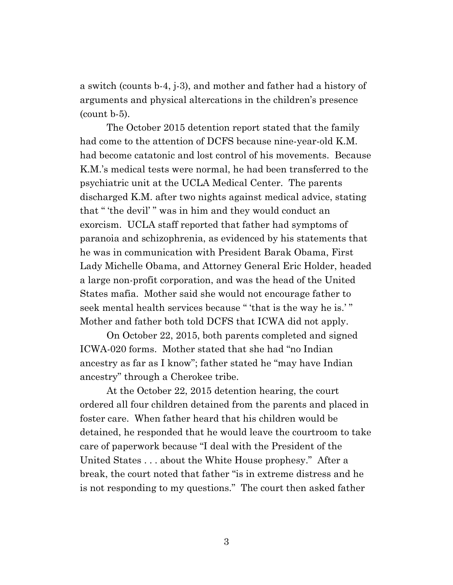a switch (counts b-4, j-3), and mother and father had a history of arguments and physical altercations in the children's presence (count b-5).

The October 2015 detention report stated that the family had come to the attention of DCFS because nine-year-old K.M. had become catatonic and lost control of his movements. Because K.M.'s medical tests were normal, he had been transferred to the psychiatric unit at the UCLA Medical Center. The parents discharged K.M. after two nights against medical advice, stating that " 'the devil' " was in him and they would conduct an exorcism. UCLA staff reported that father had symptoms of paranoia and schizophrenia, as evidenced by his statements that he was in communication with President Barak Obama, First Lady Michelle Obama, and Attorney General Eric Holder, headed a large non-profit corporation, and was the head of the United States mafia. Mother said she would not encourage father to seek mental health services because " 'that is the way he is.' " Mother and father both told DCFS that ICWA did not apply.

On October 22, 2015, both parents completed and signed ICWA-020 forms. Mother stated that she had "no Indian ancestry as far as I know"; father stated he "may have Indian ancestry" through a Cherokee tribe.

At the October 22, 2015 detention hearing, the court ordered all four children detained from the parents and placed in foster care. When father heard that his children would be detained, he responded that he would leave the courtroom to take care of paperwork because "I deal with the President of the United States . . . about the White House prophesy." After a break, the court noted that father "is in extreme distress and he is not responding to my questions." The court then asked father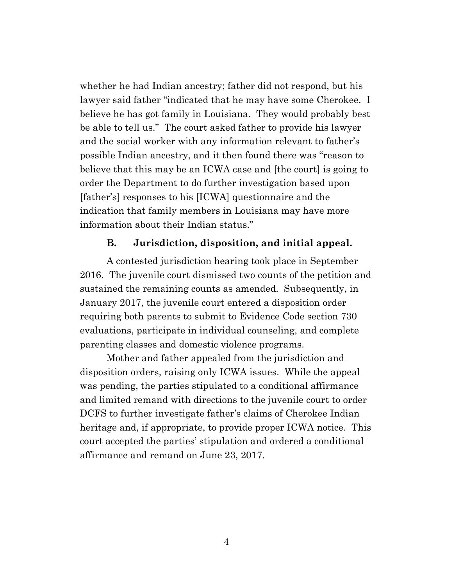whether he had Indian ancestry; father did not respond, but his lawyer said father "indicated that he may have some Cherokee. I believe he has got family in Louisiana. They would probably best be able to tell us." The court asked father to provide his lawyer and the social worker with any information relevant to father's possible Indian ancestry, and it then found there was "reason to believe that this may be an ICWA case and [the court] is going to order the Department to do further investigation based upon [father's] responses to his [ICWA] questionnaire and the indication that family members in Louisiana may have more information about their Indian status."

#### **B. Jurisdiction, disposition, and initial appeal.**

A contested jurisdiction hearing took place in September 2016. The juvenile court dismissed two counts of the petition and sustained the remaining counts as amended. Subsequently, in January 2017, the juvenile court entered a disposition order requiring both parents to submit to Evidence Code section 730 evaluations, participate in individual counseling, and complete parenting classes and domestic violence programs.

Mother and father appealed from the jurisdiction and disposition orders, raising only ICWA issues. While the appeal was pending, the parties stipulated to a conditional affirmance and limited remand with directions to the juvenile court to order DCFS to further investigate father's claims of Cherokee Indian heritage and, if appropriate, to provide proper ICWA notice. This court accepted the parties' stipulation and ordered a conditional affirmance and remand on June 23, 2017.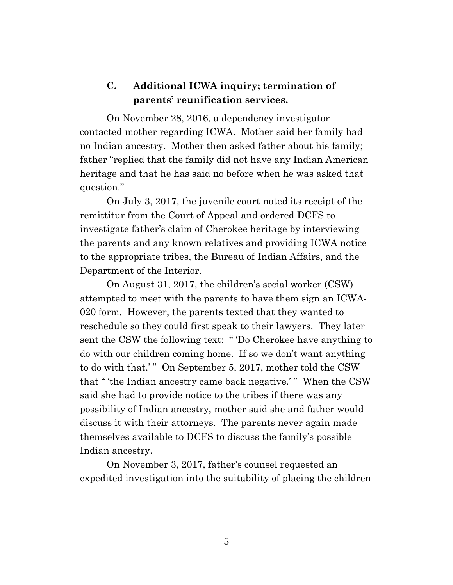## **C. Additional ICWA inquiry; termination of parents' reunification services.**

On November 28, 2016, a dependency investigator contacted mother regarding ICWA. Mother said her family had no Indian ancestry. Mother then asked father about his family; father "replied that the family did not have any Indian American heritage and that he has said no before when he was asked that question."

On July 3, 2017, the juvenile court noted its receipt of the remittitur from the Court of Appeal and ordered DCFS to investigate father's claim of Cherokee heritage by interviewing the parents and any known relatives and providing ICWA notice to the appropriate tribes, the Bureau of Indian Affairs, and the Department of the Interior.

On August 31, 2017, the children's social worker (CSW) attempted to meet with the parents to have them sign an ICWA-020 form. However, the parents texted that they wanted to reschedule so they could first speak to their lawyers. They later sent the CSW the following text: " 'Do Cherokee have anything to do with our children coming home. If so we don't want anything to do with that.'" On September 5, 2017, mother told the CSW that " 'the Indian ancestry came back negative.' " When the CSW said she had to provide notice to the tribes if there was any possibility of Indian ancestry, mother said she and father would discuss it with their attorneys. The parents never again made themselves available to DCFS to discuss the family's possible Indian ancestry.

On November 3, 2017, father's counsel requested an expedited investigation into the suitability of placing the children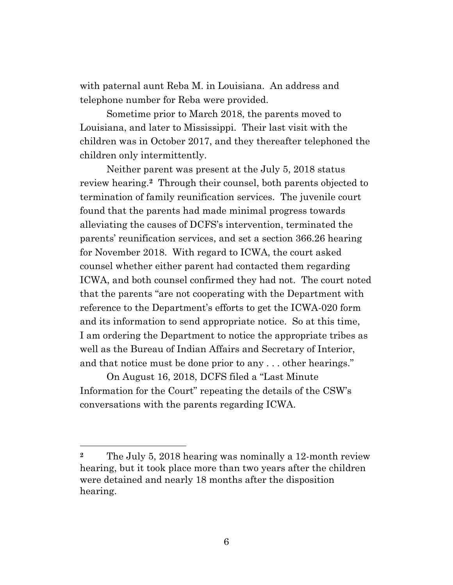with paternal aunt Reba M. in Louisiana. An address and telephone number for Reba were provided.

Sometime prior to March 2018, the parents moved to Louisiana, and later to Mississippi. Their last visit with the children was in October 2017, and they thereafter telephoned the children only intermittently.

Neither parent was present at the July 5, 2018 status review hearing.**<sup>2</sup>** Through their counsel, both parents objected to termination of family reunification services. The juvenile court found that the parents had made minimal progress towards alleviating the causes of DCFS's intervention, terminated the parents' reunification services, and set a section 366.26 hearing for November 2018. With regard to ICWA, the court asked counsel whether either parent had contacted them regarding ICWA, and both counsel confirmed they had not. The court noted that the parents "are not cooperating with the Department with reference to the Department's efforts to get the ICWA-020 form and its information to send appropriate notice. So at this time, I am ordering the Department to notice the appropriate tribes as well as the Bureau of Indian Affairs and Secretary of Interior, and that notice must be done prior to any . . . other hearings."

On August 16, 2018, DCFS filed a "Last Minute Information for the Court" repeating the details of the CSW's conversations with the parents regarding ICWA.

**<sup>2</sup>** The July 5, 2018 hearing was nominally a 12-month review hearing, but it took place more than two years after the children were detained and nearly 18 months after the disposition hearing.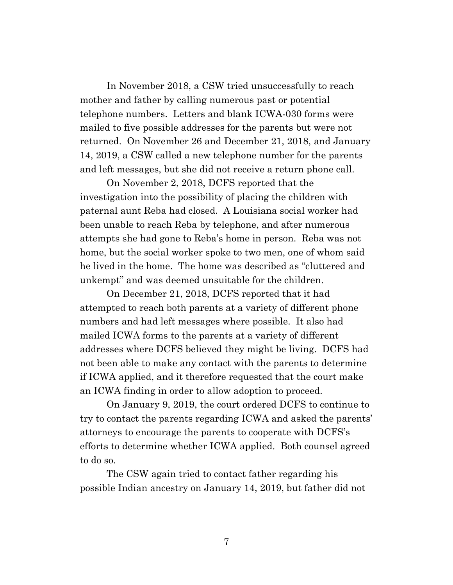In November 2018, a CSW tried unsuccessfully to reach mother and father by calling numerous past or potential telephone numbers. Letters and blank ICWA-030 forms were mailed to five possible addresses for the parents but were not returned. On November 26 and December 21, 2018, and January 14, 2019, a CSW called a new telephone number for the parents and left messages, but she did not receive a return phone call.

On November 2, 2018, DCFS reported that the investigation into the possibility of placing the children with paternal aunt Reba had closed. A Louisiana social worker had been unable to reach Reba by telephone, and after numerous attempts she had gone to Reba's home in person. Reba was not home, but the social worker spoke to two men, one of whom said he lived in the home. The home was described as "cluttered and unkempt" and was deemed unsuitable for the children.

On December 21, 2018, DCFS reported that it had attempted to reach both parents at a variety of different phone numbers and had left messages where possible. It also had mailed ICWA forms to the parents at a variety of different addresses where DCFS believed they might be living. DCFS had not been able to make any contact with the parents to determine if ICWA applied, and it therefore requested that the court make an ICWA finding in order to allow adoption to proceed.

On January 9, 2019, the court ordered DCFS to continue to try to contact the parents regarding ICWA and asked the parents' attorneys to encourage the parents to cooperate with DCFS's efforts to determine whether ICWA applied. Both counsel agreed to do so.

The CSW again tried to contact father regarding his possible Indian ancestry on January 14, 2019, but father did not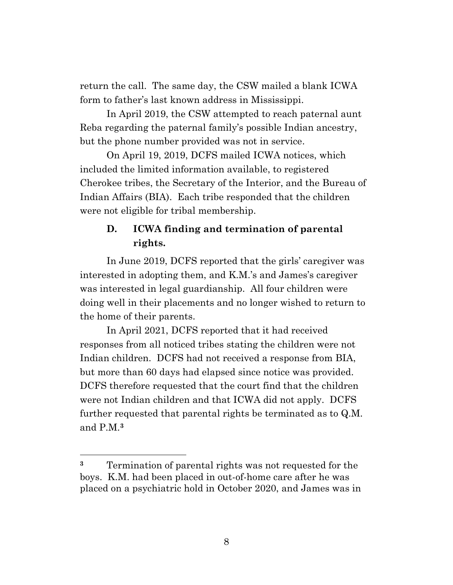return the call. The same day, the CSW mailed a blank ICWA form to father's last known address in Mississippi.

In April 2019, the CSW attempted to reach paternal aunt Reba regarding the paternal family's possible Indian ancestry, but the phone number provided was not in service.

On April 19, 2019, DCFS mailed ICWA notices, which included the limited information available, to registered Cherokee tribes, the Secretary of the Interior, and the Bureau of Indian Affairs (BIA). Each tribe responded that the children were not eligible for tribal membership.

## **D. ICWA finding and termination of parental rights.**

In June 2019, DCFS reported that the girls' caregiver was interested in adopting them, and K.M.'s and James's caregiver was interested in legal guardianship. All four children were doing well in their placements and no longer wished to return to the home of their parents.

In April 2021, DCFS reported that it had received responses from all noticed tribes stating the children were not Indian children. DCFS had not received a response from BIA, but more than 60 days had elapsed since notice was provided. DCFS therefore requested that the court find that the children were not Indian children and that ICWA did not apply. DCFS further requested that parental rights be terminated as to Q.M. and P.M.**<sup>3</sup>**

**<sup>3</sup>** Termination of parental rights was not requested for the boys. K.M. had been placed in out-of-home care after he was placed on a psychiatric hold in October 2020, and James was in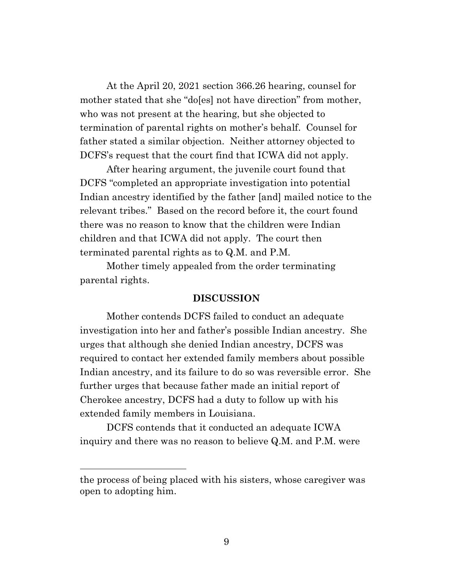At the April 20, 2021 section 366.26 hearing, counsel for mother stated that she "do[es] not have direction" from mother, who was not present at the hearing, but she objected to termination of parental rights on mother's behalf. Counsel for father stated a similar objection. Neither attorney objected to DCFS's request that the court find that ICWA did not apply.

After hearing argument, the juvenile court found that DCFS "completed an appropriate investigation into potential Indian ancestry identified by the father [and] mailed notice to the relevant tribes." Based on the record before it, the court found there was no reason to know that the children were Indian children and that ICWA did not apply. The court then terminated parental rights as to Q.M. and P.M.

Mother timely appealed from the order terminating parental rights.

#### **DISCUSSION**

Mother contends DCFS failed to conduct an adequate investigation into her and father's possible Indian ancestry. She urges that although she denied Indian ancestry, DCFS was required to contact her extended family members about possible Indian ancestry, and its failure to do so was reversible error. She further urges that because father made an initial report of Cherokee ancestry, DCFS had a duty to follow up with his extended family members in Louisiana.

DCFS contends that it conducted an adequate ICWA inquiry and there was no reason to believe Q.M. and P.M. were

the process of being placed with his sisters, whose caregiver was open to adopting him.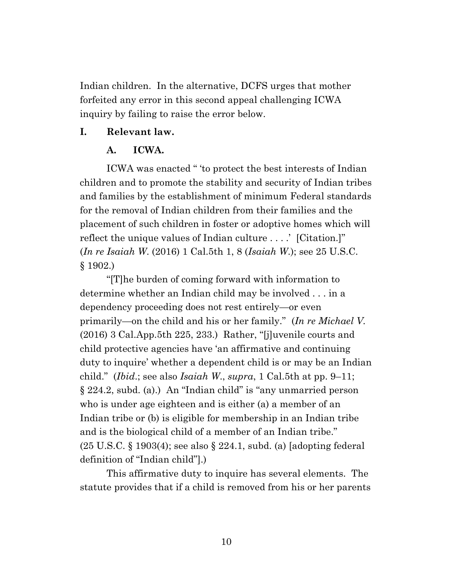Indian children. In the alternative, DCFS urges that mother forfeited any error in this second appeal challenging ICWA inquiry by failing to raise the error below.

### **I. Relevant law.**

### **A. ICWA.**

ICWA was enacted " 'to protect the best interests of Indian children and to promote the stability and security of Indian tribes and families by the establishment of minimum Federal standards for the removal of Indian children from their families and the placement of such children in foster or adoptive homes which will reflect the unique values of Indian culture . . . .' [Citation.]" (*In re Isaiah W*. (2016) 1 Cal.5th 1, 8 (*Isaiah W*.); see 25 U.S.C. § 1902.)

"[T]he burden of coming forward with information to determine whether an Indian child may be involved . . . in a dependency proceeding does not rest entirely—or even primarily—on the child and his or her family." (*In re Michael V.* (2016) 3 Cal.App.5th 225, 233.) Rather, "[j]uvenile courts and child protective agencies have 'an affirmative and continuing duty to inquire' whether a dependent child is or may be an Indian child." (*Ibid*.; see also *Isaiah W*., *supra*, 1 Cal.5th at pp. 9–11; § 224.2, subd. (a).) An "Indian child" is "any unmarried person who is under age eighteen and is either (a) a member of an Indian tribe or (b) is eligible for membership in an Indian tribe and is the biological child of a member of an Indian tribe." (25 U.S.C. § 1903(4); see also § 224.1, subd. (a) [adopting federal definition of "Indian child"].)

This affirmative duty to inquire has several elements. The statute provides that if a child is removed from his or her parents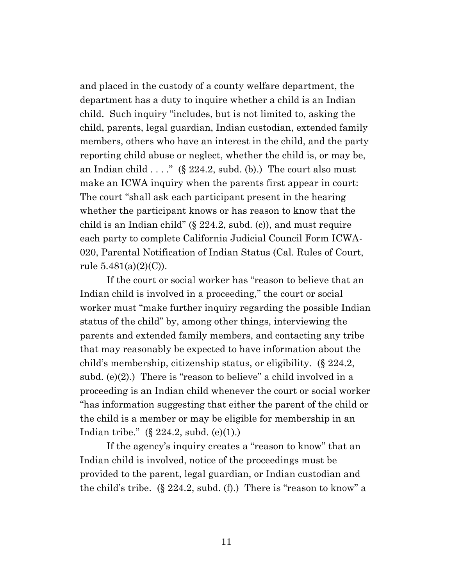and placed in the custody of a county welfare department, the department has a duty to inquire whether a child is an Indian child. Such inquiry "includes, but is not limited to, asking the child, parents, legal guardian, Indian custodian, extended family members, others who have an interest in the child, and the party reporting child abuse or neglect, whether the child is, or may be, an Indian child  $\ldots$ ." (§ 224.2, subd. (b).) The court also must make an ICWA inquiry when the parents first appear in court: The court "shall ask each participant present in the hearing whether the participant knows or has reason to know that the child is an Indian child" (§ 224.2, subd. (c)), and must require each party to complete California Judicial Council Form ICWA-020, Parental Notification of Indian Status (Cal. Rules of Court, rule  $5.481(a)(2)(C)$ .

If the court or social worker has "reason to believe that an Indian child is involved in a proceeding," the court or social worker must "make further inquiry regarding the possible Indian status of the child" by, among other things, interviewing the parents and extended family members, and contacting any tribe that may reasonably be expected to have information about the child's membership, citizenship status, or eligibility. (§ 224.2, subd. (e)(2).) There is "reason to believe" a child involved in a proceeding is an Indian child whenever the court or social worker "has information suggesting that either the parent of the child or the child is a member or may be eligible for membership in an Indian tribe." (§ 224.2, subd. (e)(1).)

If the agency's inquiry creates a "reason to know" that an Indian child is involved, notice of the proceedings must be provided to the parent, legal guardian, or Indian custodian and the child's tribe. (§ 224.2, subd. (f).) There is "reason to know" a

11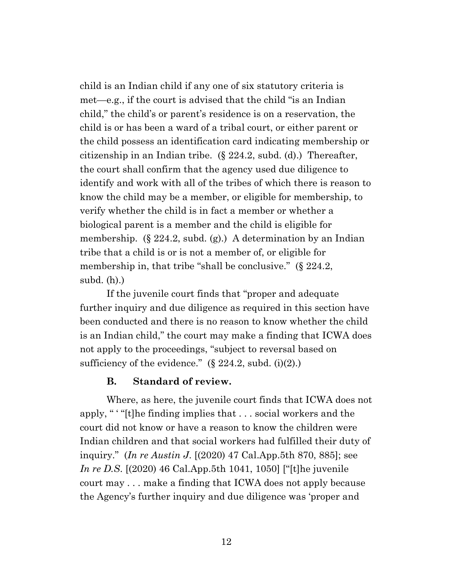child is an Indian child if any one of six statutory criteria is met—e.g., if the court is advised that the child "is an Indian child," the child's or parent's residence is on a reservation, the child is or has been a ward of a tribal court, or either parent or the child possess an identification card indicating membership or citizenship in an Indian tribe. (§ 224.2, subd. (d).) Thereafter, the court shall confirm that the agency used due diligence to identify and work with all of the tribes of which there is reason to know the child may be a member, or eligible for membership, to verify whether the child is in fact a member or whether a biological parent is a member and the child is eligible for membership.  $(\S 224.2, \text{subd.}(\S))$  A determination by an Indian tribe that a child is or is not a member of, or eligible for membership in, that tribe "shall be conclusive." (§ 224.2, subd. (h).)

If the juvenile court finds that "proper and adequate further inquiry and due diligence as required in this section have been conducted and there is no reason to know whether the child is an Indian child," the court may make a finding that ICWA does not apply to the proceedings, "subject to reversal based on sufficiency of the evidence."  $(\S$  224.2, subd. (i)(2).)

### **B. Standard of review.**

Where, as here, the juvenile court finds that ICWA does not apply, " ' "[t]he finding implies that . . . social workers and the court did not know or have a reason to know the children were Indian children and that social workers had fulfilled their duty of inquiry." (*In re Austin J*. [(2020) 47 Cal.App.5th 870, 885]; see *In re D.S*. [(2020) 46 Cal.App.5th 1041, 1050] ["[t]he juvenile court may . . . make a finding that ICWA does not apply because the Agency's further inquiry and due diligence was 'proper and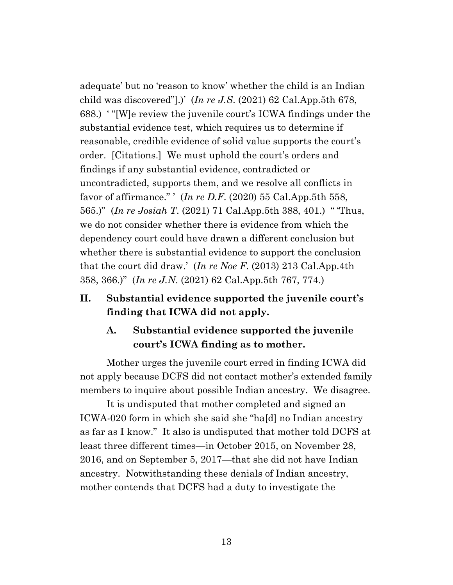adequate' but no 'reason to know' whether the child is an Indian child was discovered"].)' (*In re J.S*. (2021) 62 Cal.App.5th 678, 688.) ' "[W]e review the juvenile court's ICWA findings under the substantial evidence test, which requires us to determine if reasonable, credible evidence of solid value supports the court's order. [Citations.] We must uphold the court's orders and findings if any substantial evidence, contradicted or uncontradicted, supports them, and we resolve all conflicts in favor of affirmance." ' (*In re D.F*. (2020) 55 Cal.App.5th 558, 565.)" (*In re Josiah T*. (2021) 71 Cal.App.5th 388, 401.) " 'Thus, we do not consider whether there is evidence from which the dependency court could have drawn a different conclusion but whether there is substantial evidence to support the conclusion that the court did draw.' (*In re Noe F*. (2013) 213 Cal.App.4th 358, 366.)" (*In re J.N*. (2021) 62 Cal.App.5th 767, 774.)

## **II. Substantial evidence supported the juvenile court's finding that ICWA did not apply.**

## **A. Substantial evidence supported the juvenile court's ICWA finding as to mother.**

Mother urges the juvenile court erred in finding ICWA did not apply because DCFS did not contact mother's extended family members to inquire about possible Indian ancestry. We disagree.

It is undisputed that mother completed and signed an ICWA-020 form in which she said she "ha[d] no Indian ancestry as far as I know." It also is undisputed that mother told DCFS at least three different times—in October 2015, on November 28, 2016, and on September 5, 2017—that she did not have Indian ancestry. Notwithstanding these denials of Indian ancestry, mother contends that DCFS had a duty to investigate the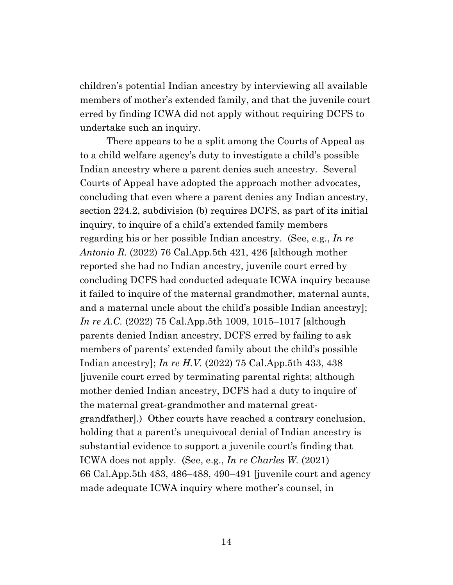children's potential Indian ancestry by interviewing all available members of mother's extended family, and that the juvenile court erred by finding ICWA did not apply without requiring DCFS to undertake such an inquiry.

There appears to be a split among the Courts of Appeal as to a child welfare agency's duty to investigate a child's possible Indian ancestry where a parent denies such ancestry. Several Courts of Appeal have adopted the approach mother advocates, concluding that even where a parent denies any Indian ancestry, section 224.2, subdivision (b) requires DCFS, as part of its initial inquiry, to inquire of a child's extended family members regarding his or her possible Indian ancestry. (See, e.g., *In re Antonio R.* (2022) 76 Cal.App.5th 421, 426 [although mother reported she had no Indian ancestry, juvenile court erred by concluding DCFS had conducted adequate ICWA inquiry because it failed to inquire of the maternal grandmother, maternal aunts, and a maternal uncle about the child's possible Indian ancestry]; *In re A.C.* (2022) 75 Cal.App.5th 1009, 1015–1017 [although parents denied Indian ancestry, DCFS erred by failing to ask members of parents' extended family about the child's possible Indian ancestry]; *In re H.V.* (2022) 75 Cal.App.5th 433, 438 [juvenile court erred by terminating parental rights; although mother denied Indian ancestry, DCFS had a duty to inquire of the maternal great-grandmother and maternal greatgrandfather].) Other courts have reached a contrary conclusion, holding that a parent's unequivocal denial of Indian ancestry is substantial evidence to support a juvenile court's finding that ICWA does not apply. (See, e.g., *In re Charles W.* (2021) 66 Cal.App.5th 483, 486–488, 490–491 [juvenile court and agency made adequate ICWA inquiry where mother's counsel, in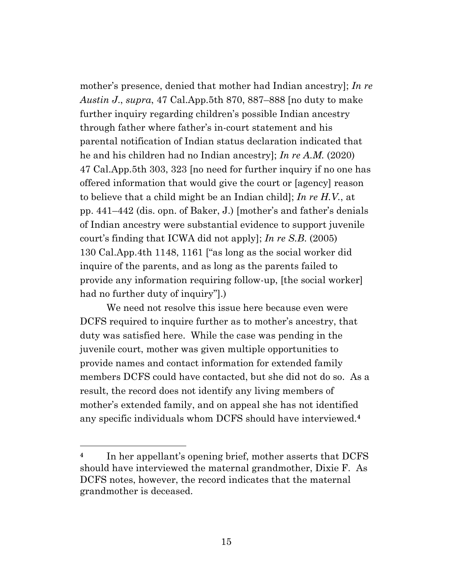mother's presence, denied that mother had Indian ancestry]; *In re Austin J*., *supra*, 47 Cal.App.5th 870, 887–888 [no duty to make further inquiry regarding children's possible Indian ancestry through father where father's in-court statement and his parental notification of Indian status declaration indicated that he and his children had no Indian ancestry]; *In re A.M.* (2020) 47 Cal.App.5th 303, 323 [no need for further inquiry if no one has offered information that would give the court or [agency] reason to believe that a child might be an Indian child]; *In re H.V.*, at pp. 441–442 (dis. opn. of Baker, J.) [mother's and father's denials of Indian ancestry were substantial evidence to support juvenile court's finding that ICWA did not apply]; *In re S.B*. (2005) 130 Cal.App.4th 1148, 1161 ["as long as the social worker did inquire of the parents, and as long as the parents failed to provide any information requiring follow-up, [the social worker] had no further duty of inquiry"].)

We need not resolve this issue here because even were DCFS required to inquire further as to mother's ancestry, that duty was satisfied here. While the case was pending in the juvenile court, mother was given multiple opportunities to provide names and contact information for extended family members DCFS could have contacted, but she did not do so. As a result, the record does not identify any living members of mother's extended family, and on appeal she has not identified any specific individuals whom DCFS should have interviewed.**<sup>4</sup>**

**<sup>4</sup>** In her appellant's opening brief, mother asserts that DCFS should have interviewed the maternal grandmother, Dixie F. As DCFS notes, however, the record indicates that the maternal grandmother is deceased.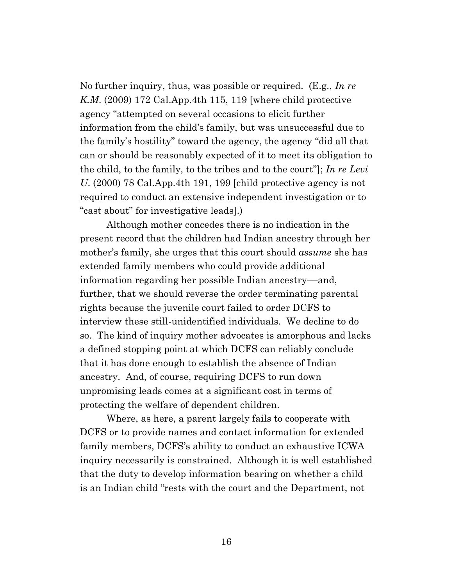No further inquiry, thus, was possible or required. (E.g., *In re K.M*. (2009) 172 Cal.App.4th 115, 119 [where child protective agency "attempted on several occasions to elicit further information from the child's family, but was unsuccessful due to the family's hostility" toward the agency, the agency "did all that can or should be reasonably expected of it to meet its obligation to the child, to the family, to the tribes and to the court"]; *In re Levi U*. (2000) 78 Cal.App.4th 191, 199 [child protective agency is not required to conduct an extensive independent investigation or to "cast about" for investigative leads].)

Although mother concedes there is no indication in the present record that the children had Indian ancestry through her mother's family, she urges that this court should *assume* she has extended family members who could provide additional information regarding her possible Indian ancestry––and, further, that we should reverse the order terminating parental rights because the juvenile court failed to order DCFS to interview these still-unidentified individuals. We decline to do so. The kind of inquiry mother advocates is amorphous and lacks a defined stopping point at which DCFS can reliably conclude that it has done enough to establish the absence of Indian ancestry. And, of course, requiring DCFS to run down unpromising leads comes at a significant cost in terms of protecting the welfare of dependent children.

Where, as here, a parent largely fails to cooperate with DCFS or to provide names and contact information for extended family members, DCFS's ability to conduct an exhaustive ICWA inquiry necessarily is constrained. Although it is well established that the duty to develop information bearing on whether a child is an Indian child "rests with the court and the Department, not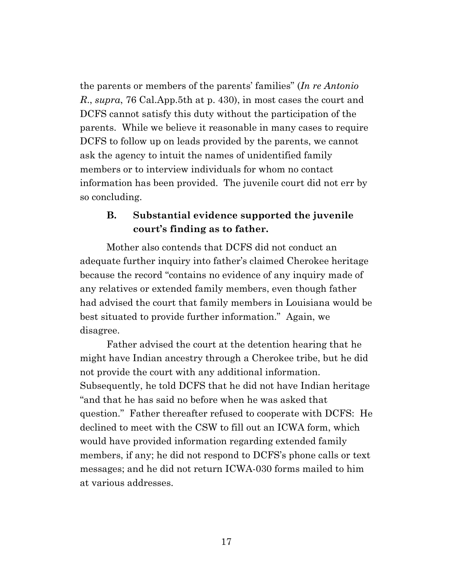the parents or members of the parents' families" (*In re Antonio R*., *supra*, 76 Cal.App.5th at p. 430), in most cases the court and DCFS cannot satisfy this duty without the participation of the parents. While we believe it reasonable in many cases to require DCFS to follow up on leads provided by the parents, we cannot ask the agency to intuit the names of unidentified family members or to interview individuals for whom no contact information has been provided. The juvenile court did not err by so concluding.

## **B. Substantial evidence supported the juvenile court's finding as to father.**

Mother also contends that DCFS did not conduct an adequate further inquiry into father's claimed Cherokee heritage because the record "contains no evidence of any inquiry made of any relatives or extended family members, even though father had advised the court that family members in Louisiana would be best situated to provide further information." Again, we disagree.

Father advised the court at the detention hearing that he might have Indian ancestry through a Cherokee tribe, but he did not provide the court with any additional information. Subsequently, he told DCFS that he did not have Indian heritage "and that he has said no before when he was asked that question." Father thereafter refused to cooperate with DCFS: He declined to meet with the CSW to fill out an ICWA form, which would have provided information regarding extended family members, if any; he did not respond to DCFS's phone calls or text messages; and he did not return ICWA-030 forms mailed to him at various addresses.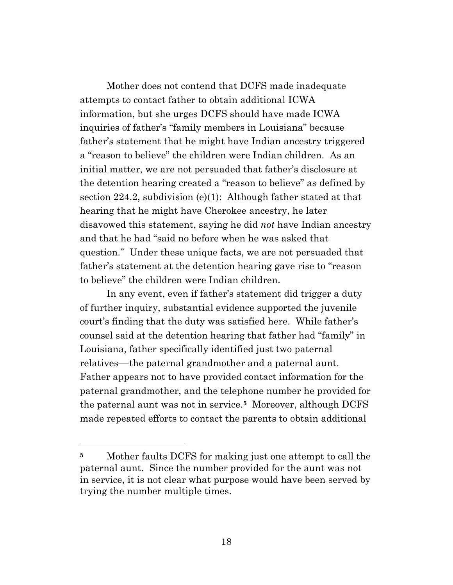Mother does not contend that DCFS made inadequate attempts to contact father to obtain additional ICWA information, but she urges DCFS should have made ICWA inquiries of father's "family members in Louisiana" because father's statement that he might have Indian ancestry triggered a "reason to believe" the children were Indian children. As an initial matter, we are not persuaded that father's disclosure at the detention hearing created a "reason to believe" as defined by section 224.2, subdivision (e)(1): Although father stated at that hearing that he might have Cherokee ancestry, he later disavowed this statement, saying he did *not* have Indian ancestry and that he had "said no before when he was asked that question." Under these unique facts, we are not persuaded that father's statement at the detention hearing gave rise to "reason to believe" the children were Indian children.

In any event, even if father's statement did trigger a duty of further inquiry, substantial evidence supported the juvenile court's finding that the duty was satisfied here. While father's counsel said at the detention hearing that father had "family" in Louisiana, father specifically identified just two paternal relatives––the paternal grandmother and a paternal aunt. Father appears not to have provided contact information for the paternal grandmother, and the telephone number he provided for the paternal aunt was not in service.**<sup>5</sup>** Moreover, although DCFS made repeated efforts to contact the parents to obtain additional

**<sup>5</sup>** Mother faults DCFS for making just one attempt to call the paternal aunt. Since the number provided for the aunt was not in service, it is not clear what purpose would have been served by trying the number multiple times.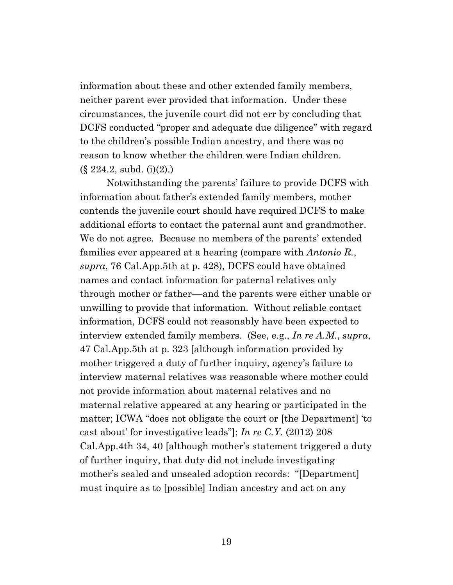information about these and other extended family members, neither parent ever provided that information. Under these circumstances, the juvenile court did not err by concluding that DCFS conducted "proper and adequate due diligence" with regard to the children's possible Indian ancestry, and there was no reason to know whether the children were Indian children.  $(\S$  224.2, subd. (i)(2).)

Notwithstanding the parents' failure to provide DCFS with information about father's extended family members, mother contends the juvenile court should have required DCFS to make additional efforts to contact the paternal aunt and grandmother. We do not agree. Because no members of the parents' extended families ever appeared at a hearing (compare with *Antonio R.*, *supra*, 76 Cal.App.5th at p. 428), DCFS could have obtained names and contact information for paternal relatives only through mother or father––and the parents were either unable or unwilling to provide that information. Without reliable contact information, DCFS could not reasonably have been expected to interview extended family members. (See, e.g., *In re A.M.*, *supra*, 47 Cal.App.5th at p. 323 [although information provided by mother triggered a duty of further inquiry, agency's failure to interview maternal relatives was reasonable where mother could not provide information about maternal relatives and no maternal relative appeared at any hearing or participated in the matter; ICWA "does not obligate the court or [the Department] 'to cast about' for investigative leads"]; *In re C.Y*. (2012) 208 Cal.App.4th 34, 40 [although mother's statement triggered a duty of further inquiry, that duty did not include investigating mother's sealed and unsealed adoption records: "[Department] must inquire as to [possible] Indian ancestry and act on any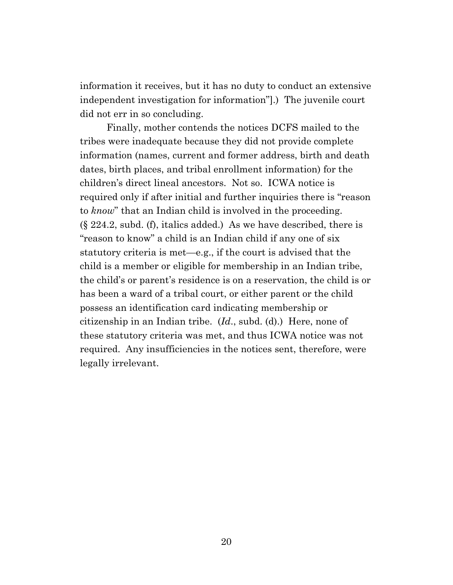information it receives, but it has no duty to conduct an extensive independent investigation for information"].) The juvenile court did not err in so concluding.

Finally, mother contends the notices DCFS mailed to the tribes were inadequate because they did not provide complete information (names, current and former address, birth and death dates, birth places, and tribal enrollment information) for the children's direct lineal ancestors. Not so. ICWA notice is required only if after initial and further inquiries there is "reason to *know*" that an Indian child is involved in the proceeding.  $(\S$  224.2, subd. (f), italics added.) As we have described, there is "reason to know" a child is an Indian child if any one of six statutory criteria is met—e.g., if the court is advised that the child is a member or eligible for membership in an Indian tribe, the child's or parent's residence is on a reservation, the child is or has been a ward of a tribal court, or either parent or the child possess an identification card indicating membership or citizenship in an Indian tribe. (*Id*., subd. (d).) Here, none of these statutory criteria was met, and thus ICWA notice was not required. Any insufficiencies in the notices sent, therefore, were legally irrelevant.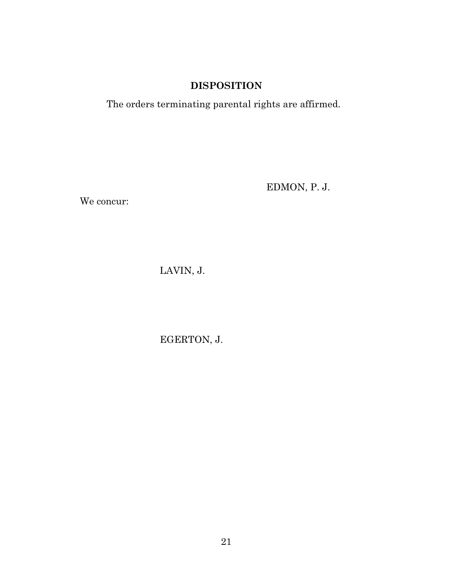## **DISPOSITION**

The orders terminating parental rights are affirmed.

EDMON, P. J.

We concur:

LAVIN, J.

EGERTON, J.